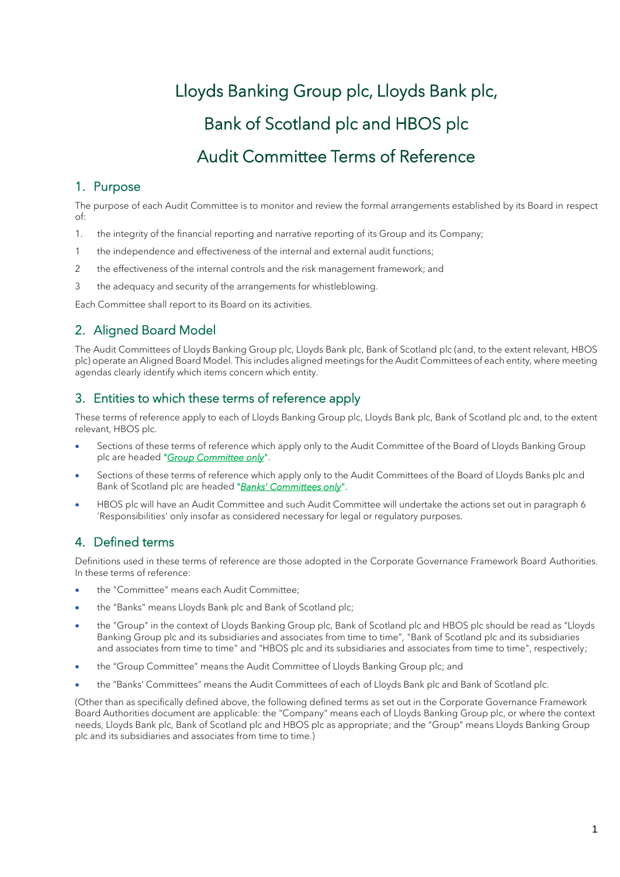# Lloyds Banking Group plc, Lloyds Bank plc, Bank of Scotland plc and HBOS plc Audit Committee Terms of Reference

## 1. Purpose

The purpose of each Audit Committee is to monitor and review the formal arrangements established by its Board in respect of:

- 1. the integrity of the financial reporting and narrative reporting of its Group and its Company;
- 1 the independence and effectiveness of the internal and external audit functions;
- 2 the effectiveness of the internal controls and the risk management framework; and
- 3 the adequacy and security of the arrangements for whistleblowing.

Each Committee shall report to its Board on its activities.

# 2. Aligned Board Model

The Audit Committees of Lloyds Banking Group plc, Lloyds Bank plc, Bank of Scotland plc (and, to the extent relevant, HBOS plc) operate an Aligned Board Model. This includes aligned meetings for the Audit Committees of each entity, where meeting agendas clearly identify which items concern which entity.

## 3. Entities to which these terms of reference apply

These terms of reference apply to each of Lloyds Banking Group plc, Lloyds Bank plc, Bank of Scotland plc and, to the extent relevant, HBOS plc.

- Sections of these terms of reference which apply only to the Audit Committee of the Board of Lloyds Banking Group plc are headed "*Group Committee only*".
- Sections of these terms of reference which apply only to the Audit Committees of the Board of Lloyds Banks plc and Bank of Scotland plc are headed "*Banks' Committees only*".
- HBOS plc will have an Audit Committee and such Audit Committee will undertake the actions set out in paragraph 6 'Responsibilities' only insofar as considered necessary for legal or regulatory purposes.

# 4. Defined terms

Definitions used in these terms of reference are those adopted in the Corporate Governance Framework Board Authorities. In these terms of reference:

- the "Committee" means each Audit Committee;
- the "Banks" means Lloyds Bank plc and Bank of Scotland plc;
- the "Group" in the context of Lloyds Banking Group plc, Bank of Scotland plc and HBOS plc should be read as "Lloyds Banking Group plc and its subsidiaries and associates from time to time", "Bank of Scotland plc and its subsidiaries and associates from time to time" and "HBOS plc and its subsidiaries and associates from time to time", respectively;
- the "Group Committee" means the Audit Committee of Lloyds Banking Group plc; and
- the "Banks' Committees" means the Audit Committees of each of Lloyds Bank plc and Bank of Scotland plc.

(Other than as specifically defined above, the following defined terms as set out in the Corporate Governance Framework Board Authorities document are applicable: the "Company" means each of Lloyds Banking Group plc, or where the context needs, Lloyds Bank plc, Bank of Scotland plc and HBOS plc as appropriate; and the "Group" means Lloyds Banking Group plc and its subsidiaries and associates from time to time.)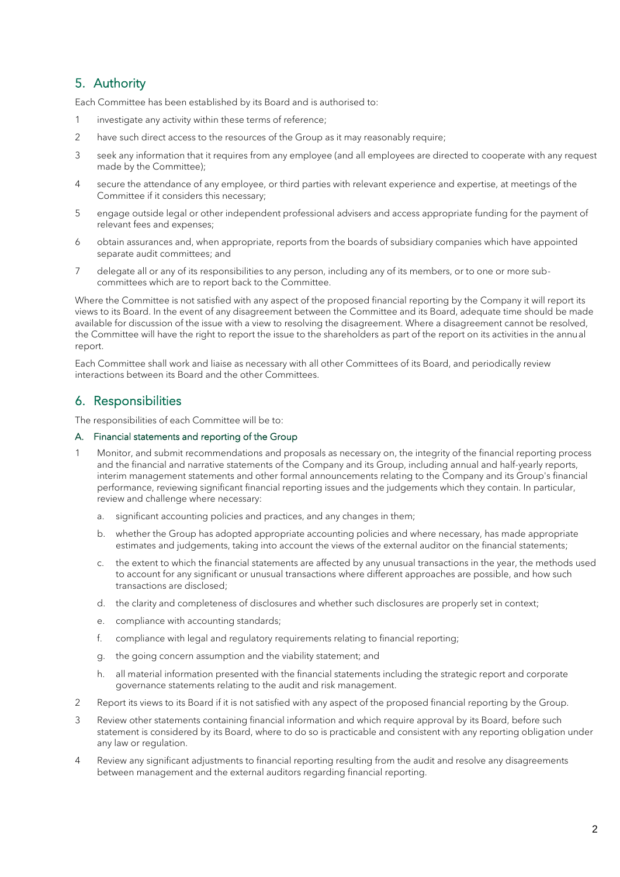# 5. Authority

Each Committee has been established by its Board and is authorised to:

- 1 investigate any activity within these terms of reference;
- 2 have such direct access to the resources of the Group as it may reasonably require;
- 3 seek any information that it requires from any employee (and all employees are directed to cooperate with any request made by the Committee);
- 4 secure the attendance of any employee, or third parties with relevant experience and expertise, at meetings of the Committee if it considers this necessary;
- 5 engage outside legal or other independent professional advisers and access appropriate funding for the payment of relevant fees and expenses;
- 6 obtain assurances and, when appropriate, reports from the boards of subsidiary companies which have appointed separate audit committees; and
- 7 delegate all or any of its responsibilities to any person, including any of its members, or to one or more subcommittees which are to report back to the Committee.

Where the Committee is not satisfied with any aspect of the proposed financial reporting by the Company it will report its views to its Board. In the event of any disagreement between the Committee and its Board, adequate time should be made available for discussion of the issue with a view to resolving the disagreement. Where a disagreement cannot be resolved, the Committee will have the right to report the issue to the shareholders as part of the report on its activities in the annual report.

Each Committee shall work and liaise as necessary with all other Committees of its Board, and periodically review interactions between its Board and the other Committees.

## 6. Responsibilities

The responsibilities of each Committee will be to:

#### A. Financial statements and reporting of the Group

- 1 Monitor, and submit recommendations and proposals as necessary on, the integrity of the financial reporting process and the financial and narrative statements of the Company and its Group, including annual and half-yearly reports, interim management statements and other formal announcements relating to the Company and its Group's financial performance, reviewing significant financial reporting issues and the judgements which they contain. In particular, review and challenge where necessary:
	- a. significant accounting policies and practices, and any changes in them;
	- b. whether the Group has adopted appropriate accounting policies and where necessary, has made appropriate estimates and judgements, taking into account the views of the external auditor on the financial statements;
	- c. the extent to which the financial statements are affected by any unusual transactions in the year, the methods used to account for any significant or unusual transactions where different approaches are possible, and how such transactions are disclosed;
	- d. the clarity and completeness of disclosures and whether such disclosures are properly set in context;
	- e. compliance with accounting standards;
	- f. compliance with legal and regulatory requirements relating to financial reporting;
	- g. the going concern assumption and the viability statement; and
	- h. all material information presented with the financial statements including the strategic report and corporate governance statements relating to the audit and risk management.
- 2 Report its views to its Board if it is not satisfied with any aspect of the proposed financial reporting by the Group.
- 3 Review other statements containing financial information and which require approval by its Board, before such statement is considered by its Board, where to do so is practicable and consistent with any reporting obligation under any law or regulation.
- 4 Review any significant adjustments to financial reporting resulting from the audit and resolve any disagreements between management and the external auditors regarding financial reporting.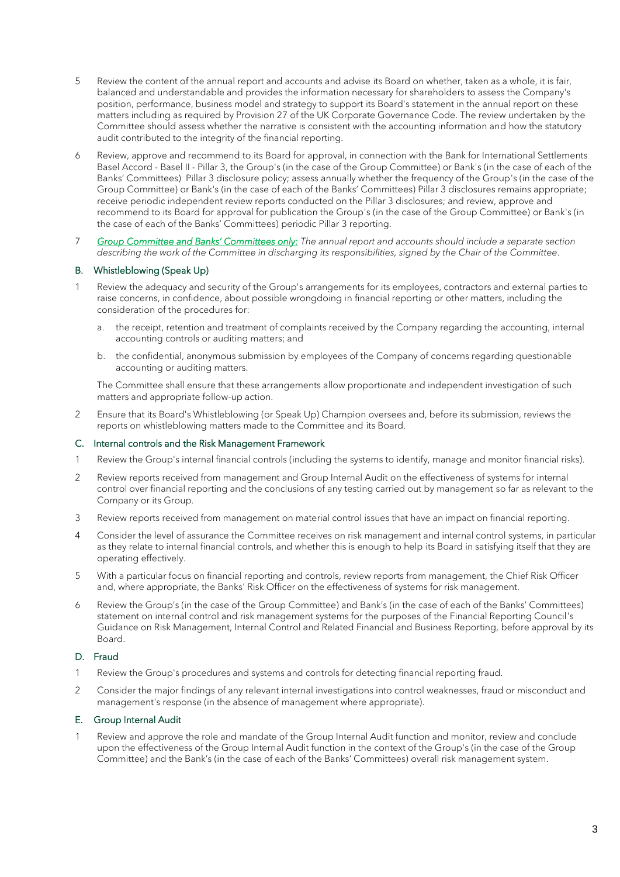- 5 Review the content of the annual report and accounts and advise its Board on whether, taken as a whole, it is fair, balanced and understandable and provides the information necessary for shareholders to assess the Company's position, performance, business model and strategy to support its Board's statement in the annual report on these matters including as required by Provision 27 of the UK Corporate Governance Code. The review undertaken by the Committee should assess whether the narrative is consistent with the accounting information and how the statutory audit contributed to the integrity of the financial reporting.
- 6 Review, approve and recommend to its Board for approval, in connection with the Bank for International Settlements Basel Accord - Basel II - Pillar 3, the Group's (in the case of the Group Committee) or Bank's (in the case of each of the Banks' Committees) Pillar 3 disclosure policy; assess annually whether the frequency of the Group's (in the case of the Group Committee) or Bank's (in the case of each of the Banks' Committees) Pillar 3 disclosures remains appropriate; receive periodic independent review reports conducted on the Pillar 3 disclosures; and review, approve and recommend to its Board for approval for publication the Group's (in the case of the Group Committee) or Bank's (in the case of each of the Banks' Committees) periodic Pillar 3 reporting.
- 7 *Group Committee and Banks' Committees only: The annual report and accounts should include a separate section describing the work of the Committee in discharging its responsibilities, signed by the Chair of the Committee*.

#### B. Whistleblowing (Speak Up)

- 1 Review the adequacy and security of the Group's arrangements for its employees, contractors and external parties to raise concerns, in confidence, about possible wrongdoing in financial reporting or other matters, including the consideration of the procedures for:
	- a. the receipt, retention and treatment of complaints received by the Company regarding the accounting, internal accounting controls or auditing matters; and
	- b. the confidential, anonymous submission by employees of the Company of concerns regarding questionable accounting or auditing matters.

The Committee shall ensure that these arrangements allow proportionate and independent investigation of such matters and appropriate follow-up action.

2 Ensure that its Board's Whistleblowing (or Speak Up) Champion oversees and, before its submission, reviews the reports on whistleblowing matters made to the Committee and its Board.

#### C. Internal controls and the Risk Management Framework

- 1 Review the Group's internal financial controls (including the systems to identify, manage and monitor financial risks).
- 2 Review reports received from management and Group Internal Audit on the effectiveness of systems for internal control over financial reporting and the conclusions of any testing carried out by management so far as relevant to the Company or its Group.
- 3 Review reports received from management on material control issues that have an impact on financial reporting.
- 4 Consider the level of assurance the Committee receives on risk management and internal control systems, in particular as they relate to internal financial controls, and whether this is enough to help its Board in satisfying itself that they are operating effectively.
- 5 With a particular focus on financial reporting and controls, review reports from management, the Chief Risk Officer and, where appropriate, the Banks' Risk Officer on the effectiveness of systems for risk management.
- 6 Review the Group's (in the case of the Group Committee) and Bank's (in the case of each of the Banks' Committees) statement on internal control and risk management systems for the purposes of the Financial Reporting Council's Guidance on Risk Management, Internal Control and Related Financial and Business Reporting, before approval by its Board.

#### D. Fraud

- 1 Review the Group's procedures and systems and controls for detecting financial reporting fraud.
- 2 Consider the major findings of any relevant internal investigations into control weaknesses, fraud or misconduct and management's response (in the absence of management where appropriate).

#### E. Group Internal Audit

1 Review and approve the role and mandate of the Group Internal Audit function and monitor, review and conclude upon the effectiveness of the Group Internal Audit function in the context of the Group's (in the case of the Group Committee) and the Bank's (in the case of each of the Banks' Committees) overall risk management system.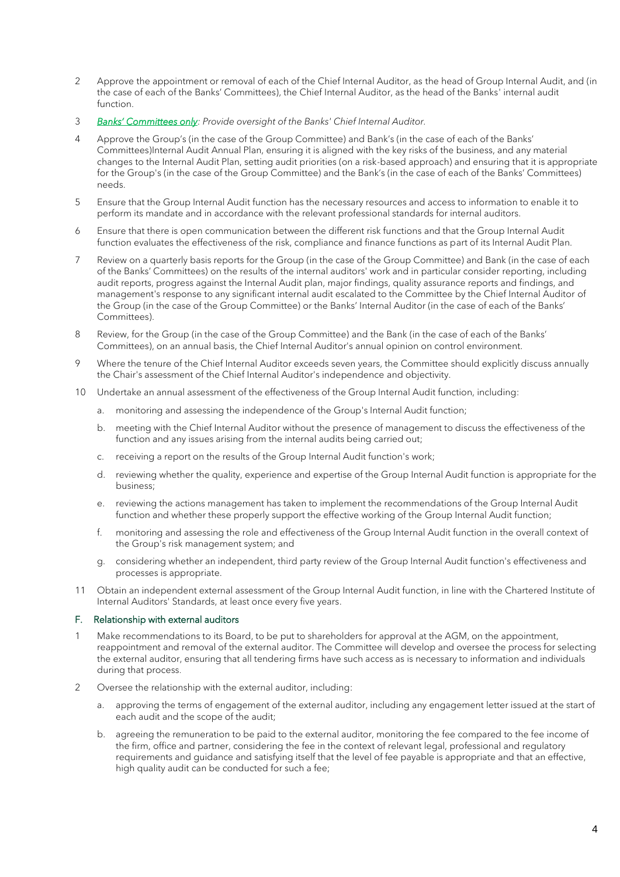- 2 Approve the appointment or removal of each of the Chief Internal Auditor, as the head of Group Internal Audit, and (in the case of each of the Banks' Committees), the Chief Internal Auditor, as the head of the Banks' internal audit function.
- 3 *Banks' Committees only: Provide oversight of the Banks' Chief Internal Auditor.*
- 4 Approve the Group's (in the case of the Group Committee) and Bank's (in the case of each of the Banks' Committees)Internal Audit Annual Plan, ensuring it is aligned with the key risks of the business, and any material changes to the Internal Audit Plan, setting audit priorities (on a risk-based approach) and ensuring that it is appropriate for the Group's (in the case of the Group Committee) and the Bank's (in the case of each of the Banks' Committees) needs.
- 5 Ensure that the Group Internal Audit function has the necessary resources and access to information to enable it to perform its mandate and in accordance with the relevant professional standards for internal auditors.
- 6 Ensure that there is open communication between the different risk functions and that the Group Internal Audit function evaluates the effectiveness of the risk, compliance and finance functions as part of its Internal Audit Plan.
- 7 Review on a quarterly basis reports for the Group (in the case of the Group Committee) and Bank (in the case of each of the Banks' Committees) on the results of the internal auditors' work and in particular consider reporting, including audit reports, progress against the Internal Audit plan, major findings, quality assurance reports and findings, and management's response to any significant internal audit escalated to the Committee by the Chief Internal Auditor of the Group (in the case of the Group Committee) or the Banks' Internal Auditor (in the case of each of the Banks' Committees).
- 8 Review, for the Group (in the case of the Group Committee) and the Bank (in the case of each of the Banks' Committees), on an annual basis, the Chief Internal Auditor's annual opinion on control environment.
- 9 Where the tenure of the Chief Internal Auditor exceeds seven years, the Committee should explicitly discuss annually the Chair's assessment of the Chief Internal Auditor's independence and objectivity.
- 10 Undertake an annual assessment of the effectiveness of the Group Internal Audit function, including:
	- a. monitoring and assessing the independence of the Group's Internal Audit function;
	- b. meeting with the Chief Internal Auditor without the presence of management to discuss the effectiveness of the function and any issues arising from the internal audits being carried out;
	- c. receiving a report on the results of the Group Internal Audit function's work;
	- d. reviewing whether the quality, experience and expertise of the Group Internal Audit function is appropriate for the business;
	- e. reviewing the actions management has taken to implement the recommendations of the Group Internal Audit function and whether these properly support the effective working of the Group Internal Audit function;
	- f. monitoring and assessing the role and effectiveness of the Group Internal Audit function in the overall context of the Group's risk management system; and
	- g. considering whether an independent, third party review of the Group Internal Audit function's effectiveness and processes is appropriate.
- 11 Obtain an independent external assessment of the Group Internal Audit function, in line with the Chartered Institute of Internal Auditors' Standards, at least once every five years.

#### F. Relationship with external auditors

- 1 Make recommendations to its Board, to be put to shareholders for approval at the AGM, on the appointment, reappointment and removal of the external auditor. The Committee will develop and oversee the process for selecting the external auditor, ensuring that all tendering firms have such access as is necessary to information and individuals during that process.
- 2 Oversee the relationship with the external auditor, including:
	- a. approving the terms of engagement of the external auditor, including any engagement letter issued at the start of each audit and the scope of the audit;
	- b. agreeing the remuneration to be paid to the external auditor, monitoring the fee compared to the fee income of the firm, office and partner, considering the fee in the context of relevant legal, professional and regulatory requirements and guidance and satisfying itself that the level of fee payable is appropriate and that an effective, high quality audit can be conducted for such a fee;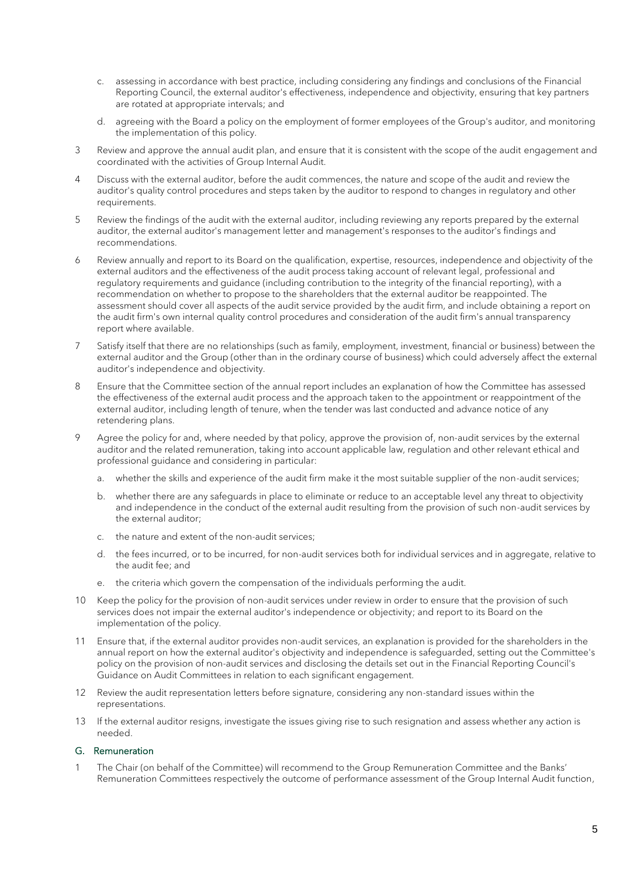- c. assessing in accordance with best practice, including considering any findings and conclusions of the Financial Reporting Council, the external auditor's effectiveness, independence and objectivity, ensuring that key partners are rotated at appropriate intervals; and
- d. agreeing with the Board a policy on the employment of former employees of the Group's auditor, and monitoring the implementation of this policy.
- 3 Review and approve the annual audit plan, and ensure that it is consistent with the scope of the audit engagement and coordinated with the activities of Group Internal Audit.
- 4 Discuss with the external auditor, before the audit commences, the nature and scope of the audit and review the auditor's quality control procedures and steps taken by the auditor to respond to changes in regulatory and other requirements.
- 5 Review the findings of the audit with the external auditor, including reviewing any reports prepared by the external auditor, the external auditor's management letter and management's responses to the auditor's findings and recommendations.
- 6 Review annually and report to its Board on the qualification, expertise, resources, independence and objectivity of the external auditors and the effectiveness of the audit process taking account of relevant legal, professional and regulatory requirements and guidance (including contribution to the integrity of the financial reporting), with a recommendation on whether to propose to the shareholders that the external auditor be reappointed. The assessment should cover all aspects of the audit service provided by the audit firm, and include obtaining a report on the audit firm's own internal quality control procedures and consideration of the audit firm's annual transparency report where available.
- 7 Satisfy itself that there are no relationships (such as family, employment, investment, financial or business) between the external auditor and the Group (other than in the ordinary course of business) which could adversely affect the external auditor's independence and objectivity.
- 8 Ensure that the Committee section of the annual report includes an explanation of how the Committee has assessed the effectiveness of the external audit process and the approach taken to the appointment or reappointment of the external auditor, including length of tenure, when the tender was last conducted and advance notice of any retendering plans.
- 9 Agree the policy for and, where needed by that policy, approve the provision of, non-audit services by the external auditor and the related remuneration, taking into account applicable law, regulation and other relevant ethical and professional guidance and considering in particular:
	- a. whether the skills and experience of the audit firm make it the most suitable supplier of the non-audit services;
	- b. whether there are any safeguards in place to eliminate or reduce to an acceptable level any threat to objectivity and independence in the conduct of the external audit resulting from the provision of such non-audit services by the external auditor;
	- c. the nature and extent of the non-audit services;
	- d. the fees incurred, or to be incurred, for non-audit services both for individual services and in aggregate, relative to the audit fee; and
	- e. the criteria which govern the compensation of the individuals performing the audit.
- 10 Keep the policy for the provision of non-audit services under review in order to ensure that the provision of such services does not impair the external auditor's independence or objectivity; and report to its Board on the implementation of the policy.
- 11 Ensure that, if the external auditor provides non-audit services, an explanation is provided for the shareholders in the annual report on how the external auditor's objectivity and independence is safeguarded, setting out the Committee's policy on the provision of non-audit services and disclosing the details set out in the Financial Reporting Council's Guidance on Audit Committees in relation to each significant engagement.
- 12 Review the audit representation letters before signature, considering any non-standard issues within the representations.
- 13 If the external auditor resigns, investigate the issues giving rise to such resignation and assess whether any action is needed.

#### G. Remuneration

1 The Chair (on behalf of the Committee) will recommend to the Group Remuneration Committee and the Banks' Remuneration Committees respectively the outcome of performance assessment of the Group Internal Audit function,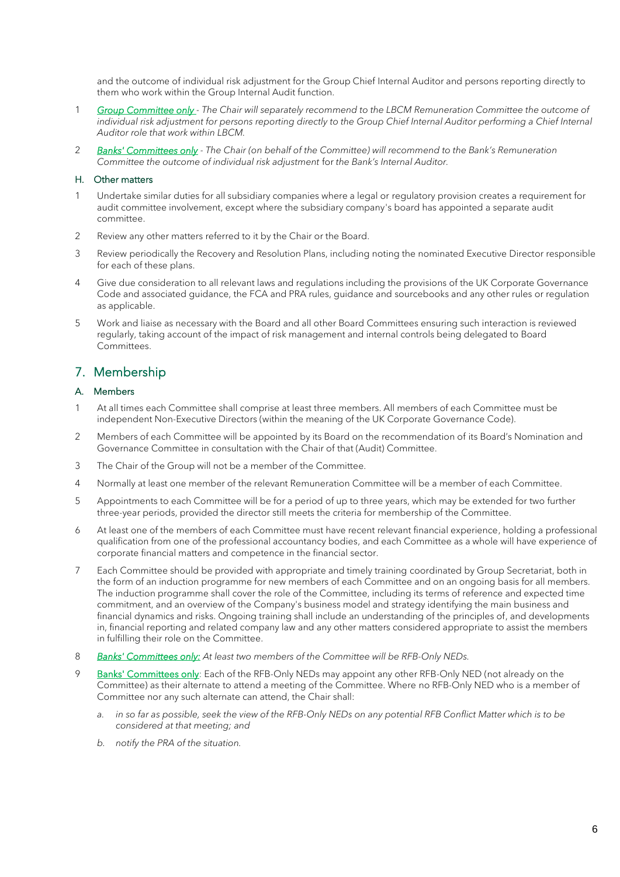and the outcome of individual risk adjustment for the Group Chief Internal Auditor and persons reporting directly to them who work within the Group Internal Audit function.

- 1 *Group Committee only - The Chair will separately recommend to the LBCM Remuneration Committee the outcome of individual risk adjustment for persons reporting directly to the Group Chief Internal Auditor performing a Chief Internal Auditor role that work within LBCM.*
- 2 *Banks' Committees only - The Chair (on behalf of the Committee) will recommend to the Bank's Remuneration Committee the outcome of individual risk adjustment* for *the Bank's Internal Auditor.*

#### H. Other matters

- 1 Undertake similar duties for all subsidiary companies where a legal or regulatory provision creates a requirement for audit committee involvement, except where the subsidiary company's board has appointed a separate audit committee.
- 2 Review any other matters referred to it by the Chair or the Board.
- 3 Review periodically the Recovery and Resolution Plans, including noting the nominated Executive Director responsible for each of these plans.
- 4 Give due consideration to all relevant laws and regulations including the provisions of the UK Corporate Governance Code and associated guidance, the FCA and PRA rules, guidance and sourcebooks and any other rules or regulation as applicable.
- 5 Work and liaise as necessary with the Board and all other Board Committees ensuring such interaction is reviewed regularly, taking account of the impact of risk management and internal controls being delegated to Board Committees.

## 7. Membership

#### A. Members

- 1 At all times each Committee shall comprise at least three members. All members of each Committee must be independent Non-Executive Directors (within the meaning of the UK Corporate Governance Code).
- 2 Members of each Committee will be appointed by its Board on the recommendation of its Board's Nomination and Governance Committee in consultation with the Chair of that (Audit) Committee.
- 3 The Chair of the Group will not be a member of the Committee.
- 4 Normally at least one member of the relevant Remuneration Committee will be a member of each Committee.
- 5 Appointments to each Committee will be for a period of up to three years, which may be extended for two further three-year periods, provided the director still meets the criteria for membership of the Committee.
- 6 At least one of the members of each Committee must have recent relevant financial experience, holding a professional qualification from one of the professional accountancy bodies, and each Committee as a whole will have experience of corporate financial matters and competence in the financial sector.
- 7 Each Committee should be provided with appropriate and timely training coordinated by Group Secretariat, both in the form of an induction programme for new members of each Committee and on an ongoing basis for all members. The induction programme shall cover the role of the Committee, including its terms of reference and expected time commitment, and an overview of the Company's business model and strategy identifying the main business and financial dynamics and risks. Ongoing training shall include an understanding of the principles of, and developments in, financial reporting and related company law and any other matters considered appropriate to assist the members in fulfilling their role on the Committee.
- 8 *Banks' Committees only: At least two members of the Committee will be RFB-Only NEDs.*
- 9 Banks' Committees only: Each of the RFB-Only NEDs may appoint any other RFB-Only NED (not already on the Committee) as their alternate to attend a meeting of the Committee. Where no RFB-Only NED who is a member of Committee nor any such alternate can attend, the Chair shall:
	- *a. in so far as possible, seek the view of the RFB-Only NEDs on any potential RFB Conflict Matter which is to be considered at that meeting; and*
	- *b. notify the PRA of the situation.*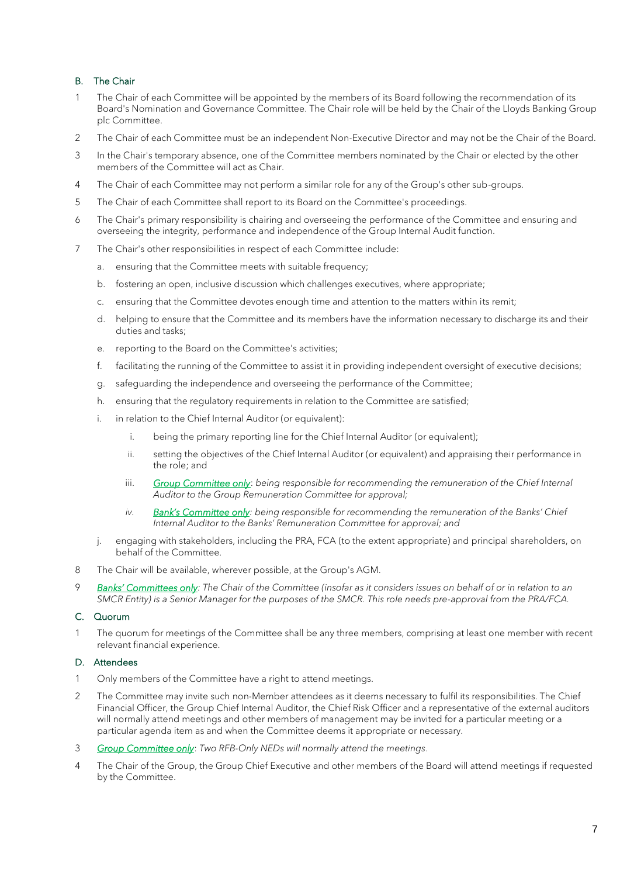### B. The Chair

- 1 The Chair of each Committee will be appointed by the members of its Board following the recommendation of its Board's Nomination and Governance Committee. The Chair role will be held by the Chair of the Lloyds Banking Group plc Committee.
- 2 The Chair of each Committee must be an independent Non-Executive Director and may not be the Chair of the Board.
- 3 In the Chair's temporary absence, one of the Committee members nominated by the Chair or elected by the other members of the Committee will act as Chair.
- 4 The Chair of each Committee may not perform a similar role for any of the Group's other sub-groups.
- 5 The Chair of each Committee shall report to its Board on the Committee's proceedings.
- 6 The Chair's primary responsibility is chairing and overseeing the performance of the Committee and ensuring and overseeing the integrity, performance and independence of the Group Internal Audit function.
- 7 The Chair's other responsibilities in respect of each Committee include:
	- a. ensuring that the Committee meets with suitable frequency;
	- b. fostering an open, inclusive discussion which challenges executives, where appropriate;
	- c. ensuring that the Committee devotes enough time and attention to the matters within its remit;
	- d. helping to ensure that the Committee and its members have the information necessary to discharge its and their duties and tasks;
	- e. reporting to the Board on the Committee's activities;
	- f. facilitating the running of the Committee to assist it in providing independent oversight of executive decisions;
	- g. safeguarding the independence and overseeing the performance of the Committee;
	- h. ensuring that the regulatory requirements in relation to the Committee are satisfied;
	- i. in relation to the Chief Internal Auditor (or equivalent):
		- i. being the primary reporting line for the Chief Internal Auditor (or equivalent);
		- ii. setting the objectives of the Chief Internal Auditor (or equivalent) and appraising their performance in the role; and
		- iii. **Group Committee only:** being responsible for recommending the remuneration of the Chief Internal *Auditor to the Group Remuneration Committee for approval;*
		- *iv. Bank's Committee only: being responsible for recommending the remuneration of the Banks' Chief Internal Auditor to the Banks' Remuneration Committee for approval; and*
	- j. engaging with stakeholders, including the PRA, FCA (to the extent appropriate) and principal shareholders, on behalf of the Committee.
- 8 The Chair will be available, wherever possible, at the Group's AGM.
- 9 *Banks' Committees only: The Chair of the Committee (insofar as it considers issues on behalf of or in relation to an SMCR Entity) is a Senior Manager for the purposes of the SMCR. This role needs pre-approval from the PRA/FCA.*

#### C. Quorum

1 The quorum for meetings of the Committee shall be any three members, comprising at least one member with recent relevant financial experience.

#### D. Attendees

- 1 Only members of the Committee have a right to attend meetings.
- 2 The Committee may invite such non-Member attendees as it deems necessary to fulfil its responsibilities. The Chief Financial Officer, the Group Chief Internal Auditor, the Chief Risk Officer and a representative of the external auditors will normally attend meetings and other members of management may be invited for a particular meeting or a particular agenda item as and when the Committee deems it appropriate or necessary.
- 3 *Group Committee only*: *Two RFB-Only NEDs will normally attend the meetings*.
- 4 The Chair of the Group, the Group Chief Executive and other members of the Board will attend meetings if requested by the Committee.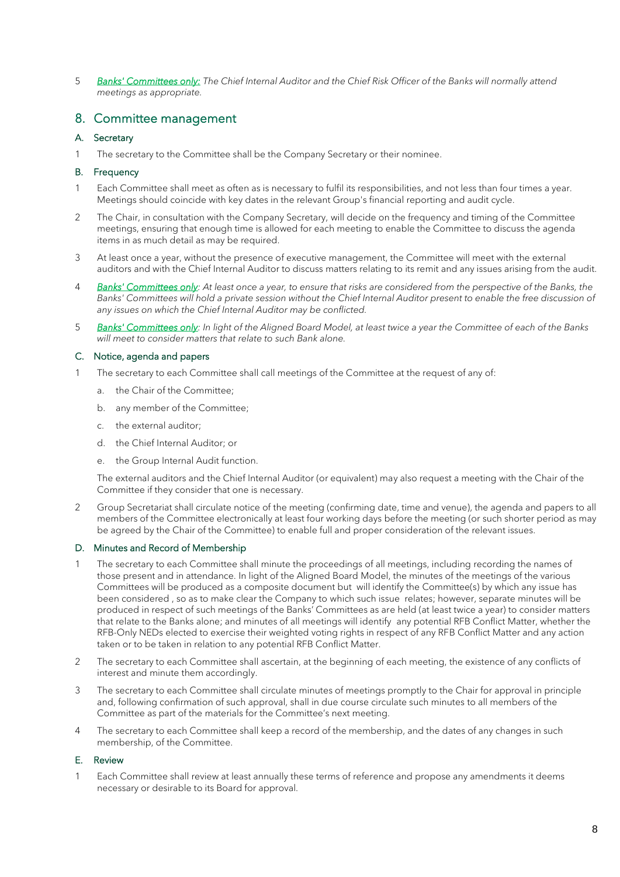5 *Banks' Committees only: The Chief Internal Auditor and the Chief Risk Officer of the Banks will normally attend meetings as appropriate.*

## 8. Committee management

#### A. Secretary

1 The secretary to the Committee shall be the Company Secretary or their nominee.

#### B. Frequency

- 1 Each Committee shall meet as often as is necessary to fulfil its responsibilities, and not less than four times a year. Meetings should coincide with key dates in the relevant Group's financial reporting and audit cycle.
- 2 The Chair, in consultation with the Company Secretary, will decide on the frequency and timing of the Committee meetings, ensuring that enough time is allowed for each meeting to enable the Committee to discuss the agenda items in as much detail as may be required.
- 3 At least once a year, without the presence of executive management, the Committee will meet with the external auditors and with the Chief Internal Auditor to discuss matters relating to its remit and any issues arising from the audit.
- 4 *Banks' Committees only: At least once a year, to ensure that risks are considered from the perspective of the Banks, the*  Banks' Committees will hold a private session without the Chief Internal Auditor present to enable the free discussion of *any issues on which the Chief Internal Auditor may be conflicted.*
- 5 *Banks' Committees only: In light of the Aligned Board Model, at least twice a year the Committee of each of the Banks will meet to consider matters that relate to such Bank alone.*

#### C. Notice, agenda and papers

- 1 The secretary to each Committee shall call meetings of the Committee at the request of any of:
	- a. the Chair of the Committee;
	- b. any member of the Committee;
	- c. the external auditor;
	- d. the Chief Internal Auditor; or
	- e. the Group Internal Audit function.

The external auditors and the Chief Internal Auditor (or equivalent) may also request a meeting with the Chair of the Committee if they consider that one is necessary.

2 Group Secretariat shall circulate notice of the meeting (confirming date, time and venue), the agenda and papers to all members of the Committee electronically at least four working days before the meeting (or such shorter period as may be agreed by the Chair of the Committee) to enable full and proper consideration of the relevant issues.

#### D. Minutes and Record of Membership

- The secretary to each Committee shall minute the proceedings of all meetings, including recording the names of those present and in attendance. In light of the Aligned Board Model, the minutes of the meetings of the various Committees will be produced as a composite document but will identify the Committee(s) by which any issue has been considered , so as to make clear the Company to which such issue relates; however, separate minutes will be produced in respect of such meetings of the Banks' Committees as are held (at least twice a year) to consider matters that relate to the Banks alone; and minutes of all meetings will identify any potential RFB Conflict Matter, whether the RFB-Only NEDs elected to exercise their weighted voting rights in respect of any RFB Conflict Matter and any action taken or to be taken in relation to any potential RFB Conflict Matter.
- 2 The secretary to each Committee shall ascertain, at the beginning of each meeting, the existence of any conflicts of interest and minute them accordingly.
- 3 The secretary to each Committee shall circulate minutes of meetings promptly to the Chair for approval in principle and, following confirmation of such approval, shall in due course circulate such minutes to all members of the Committee as part of the materials for the Committee's next meeting.
- 4 The secretary to each Committee shall keep a record of the membership, and the dates of any changes in such membership, of the Committee.

#### E. Review

1 Each Committee shall review at least annually these terms of reference and propose any amendments it deems necessary or desirable to its Board for approval.